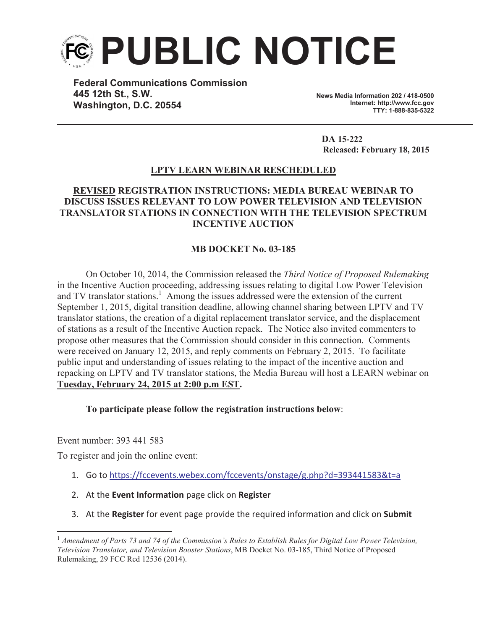

**Federal Communications Commission 445 12th St., S.W. Washington, D.C. 20554**

**News Media Information 202 / 418-0500 Internet: http://www.fcc.gov TTY: 1-888-835-5322**

**DA 15-222 Released: February 18, 2015**

## **LPTV LEARN WEBINAR RESCHEDULED**

## **REVISED REGISTRATION INSTRUCTIONS: MEDIA BUREAU WEBINAR TO DISCUSS ISSUES RELEVANT TO LOW POWER TELEVISION AND TELEVISION TRANSLATOR STATIONS IN CONNECTION WITH THE TELEVISION SPECTRUM INCENTIVE AUCTION**

## **MB DOCKET No. 03-185**

On October 10, 2014, the Commission released the *Third Notice of Proposed Rulemaking*  in the Incentive Auction proceeding, addressing issues relating to digital Low Power Television and TV translator stations.<sup>1</sup> Among the issues addressed were the extension of the current September 1, 2015, digital transition deadline, allowing channel sharing between LPTV and TV translator stations, the creation of a digital replacement translator service, and the displacement of stations as a result of the Incentive Auction repack. The Notice also invited commenters to propose other measures that the Commission should consider in this connection. Comments were received on January 12, 2015, and reply comments on February 2, 2015. To facilitate public input and understanding of issues relating to the impact of the incentive auction and repacking on LPTV and TV translator stations, the Media Bureau will host a LEARN webinar on **Tuesday, February 24, 2015 at 2:00 p.m EST.**

**To participate please follow the registration instructions below**:

Event number: 393 441 583

To register and join the online event:

- 1. Go to https://fccevents.webex.com/fccevents/onstage/g.php?d=393441583&t=a
- 2. At the **Event Information** page click on **Register**
- 3. At the **Register** for event page provide the required information and click on **Submit**

<sup>1</sup> *Amendment of Parts 73 and 74 of the Commission's Rules to Establish Rules for Digital Low Power Television, Television Translator, and Television Booster Stations*, MB Docket No. 03-185, Third Notice of Proposed Rulemaking, 29 FCC Rcd 12536 (2014).